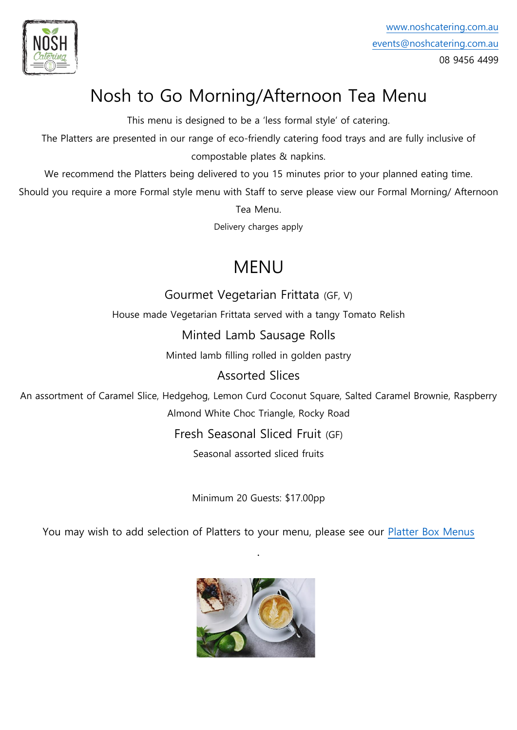

# Nosh to Go Morning/Afternoon Tea Menu

This menu is designed to be a 'less formal style' of catering.

The Platters are presented in our range of eco-friendly catering food trays and are fully inclusive of compostable plates & napkins.

We recommend the Platters being delivered to you 15 minutes prior to your planned eating time.

Should you require a more Formal style menu with Staff to serve please view our Formal Morning/ Afternoon

Tea Menu.

Delivery charges apply

### MENU

Gourmet Vegetarian Frittata (GF, V)

House made Vegetarian Frittata served with a tangy Tomato Relish

#### Minted Lamb Sausage Rolls

Minted lamb filling rolled in golden pastry

#### Assorted Slices

An assortment of Caramel Slice, Hedgehog, Lemon Curd Coconut Square, Salted Caramel Brownie, Raspberry Almond White Choc Triangle, Rocky Road

Fresh Seasonal Sliced Fruit (GF)

Seasonal assorted sliced fruits

Minimum 20 Guests: \$17.00pp

You may wish to add selection of Platters to your menu, please see our [Platter Box Menus](https://www.noshcatering.com.au/platters/)

.

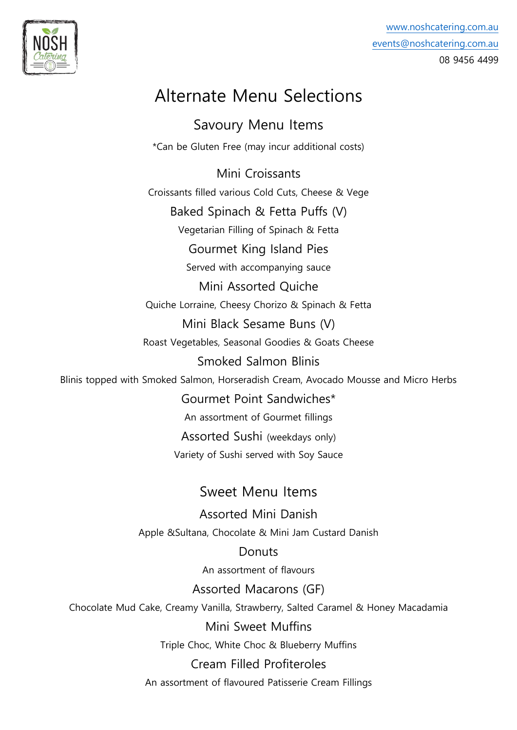

## Alternate Menu Selections

Savoury Menu Items \*Can be Gluten Free (may incur additional costs)

Mini Croissants Croissants filled various Cold Cuts, Cheese & Vege Baked Spinach & Fetta Puffs (V) Vegetarian Filling of Spinach & Fetta Gourmet King Island Pies Served with accompanying sauce Mini Assorted Quiche Quiche Lorraine, Cheesy Chorizo & Spinach & Fetta Mini Black Sesame Buns (V) Roast Vegetables, Seasonal Goodies & Goats Cheese Smoked Salmon Blinis Blinis topped with Smoked Salmon, Horseradish Cream, Avocado Mousse and Micro Herbs Gourmet Point Sandwiches\* An assortment of Gourmet fillings Assorted Sushi (weekdays only) Variety of Sushi served with Soy Sauce

### Sweet Menu Items

Assorted Mini Danish Apple &Sultana, Chocolate & Mini Jam Custard Danish

### **Donuts**

An assortment of flavours

### Assorted Macarons (GF)

Chocolate Mud Cake, Creamy Vanilla, Strawberry, Salted Caramel & Honey Macadamia

Mini Sweet Muffins

Triple Choc, White Choc & Blueberry Muffins

### Cream Filled Profiteroles

An assortment of flavoured Patisserie Cream Fillings